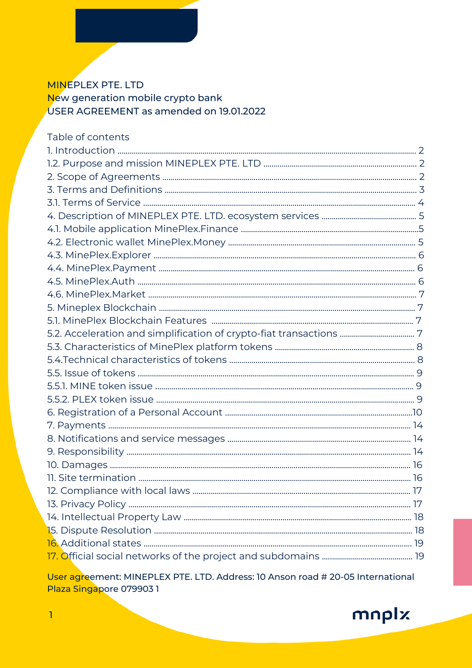# **MINEPLEX PTE. LTD** New generation mobile crypto bank USER AGREEMENT as amended on 19.01.2022

| Table of contents |  |
|-------------------|--|
|                   |  |
|                   |  |
|                   |  |
|                   |  |
|                   |  |
|                   |  |
|                   |  |
|                   |  |
|                   |  |
|                   |  |
|                   |  |
|                   |  |
|                   |  |
|                   |  |
|                   |  |
|                   |  |
|                   |  |
|                   |  |
|                   |  |
|                   |  |
|                   |  |
|                   |  |
|                   |  |
|                   |  |
|                   |  |
|                   |  |
|                   |  |
|                   |  |
|                   |  |
|                   |  |
|                   |  |
|                   |  |

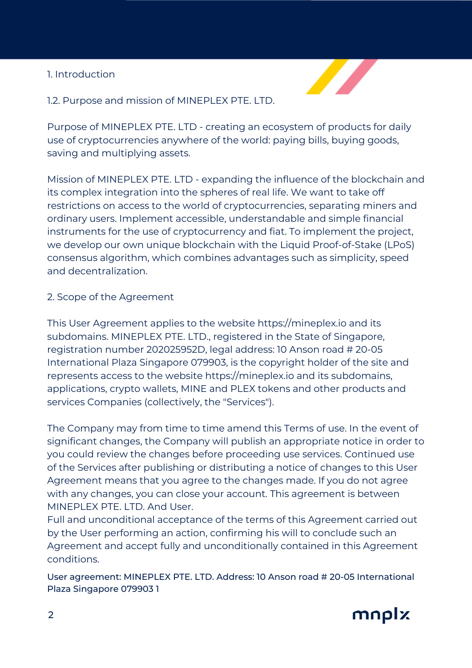# 1. Introduction



## 1.2. Purpose and mission of MINEPLEX PTE. LTD.

Purpose of MINEPLEX PTE. LTD - creating an ecosystem of products for daily use of cryptocurrencies anywhere of the world: paying bills, buying goods, saving and multiplying assets.

Mission of MINEPLEX PTE. LTD - expanding the influence of the blockchain and its complex integration into the spheres of real life. We want to take off restrictions on access to the world of cryptocurrencies, separating miners and ordinary users. Implement accessible, understandable and simple financial instruments for the use of cryptocurrency and fiat. To implement the project, we develop our own unique blockchain with the Liquid Proof-of-Stake (LPoS) consensus algorithm, which combines advantages such as simplicity, speed and decentralization.

### 2. Scope of the Agreement

This User Agreement applies to the website https://mineplex.io and its subdomains. MINEPLEX PTE. LTD., registered in the State of Singapore, registration number 202025952D, legal address: 10 Anson road # 20-05 International Plaza Singapore 079903, is the copyright holder of the site and represents access to the website https://mineplex.io and its subdomains, applications, crypto wallets, MINE and PLEX tokens and other products and services Companies (collectively, the "Services").

The Company may from time to time amend this Terms of use. In the event of significant changes, the Company will publish an appropriate notice in order to you could review the changes before proceeding use services. Continued use of the Services after publishing or distributing a notice of changes to this User Agreement means that you agree to the changes made. If you do not agree with any changes, you can close your account. This agreement is between MINEPLEX PTE. LTD. And User.

Full and unconditional acceptance of the terms of this Agreement carried out by the User performing an action, confirming his will to conclude such an Agreement and accept fully and unconditionally contained in this Agreement conditions.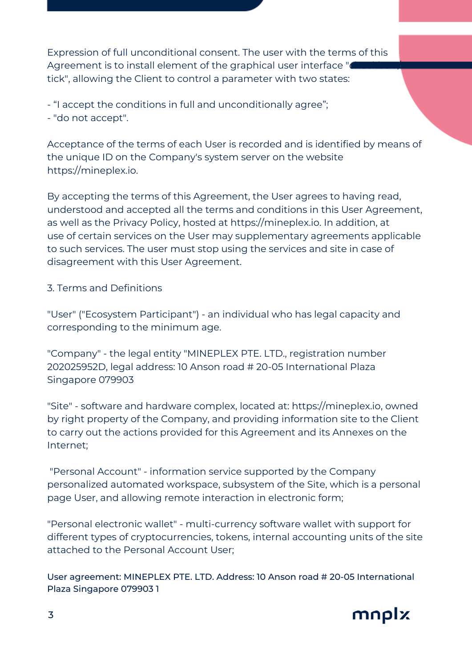Expression of full unconditional consent. The user with the terms of this Agreement is to install element of the graphical user interface " tick", allowing the Client to control a parameter with two states:

- "I accept the conditions in full and unconditionally agree";

- "do not accept".

Acceptance of the terms of each User is recorded and is identified by means of the unique ID on the Company's system server on the website https://mineplex.io.

By accepting the terms of this Agreement, the User agrees to having read, understood and accepted all the terms and conditions in this User Agreement, as well as the Privacy Policy, hosted at https://mineplex.io. In addition, at use of certain services on the User may supplementary agreements applicable to such services. The user must stop using the services and site in case of disagreement with this User Agreement.

# 3. Terms and Definitions

"User" ("Ecosystem Participant") - an individual who has legal capacity and corresponding to the minimum age.

"Company" - the legal entity "MINEPLEX PTE. LTD., registration number 202025952D, legal address: 10 Anson road # 20-05 International Plaza Singapore 079903

"Site" - software and hardware complex, located at: https://mineplex.io, owned by right property of the Company, and providing information site to the Client to carry out the actions provided for this Agreement and its Annexes on the Internet;

"Personal Account" - information service supported by the Company personalized automated workspace, subsystem of the Site, which is a personal page User, and allowing remote interaction in electronic form;

"Personal electronic wallet" - multi-currency software wallet with support for different types of cryptocurrencies, tokens, internal accounting units of the site attached to the Personal Account User;

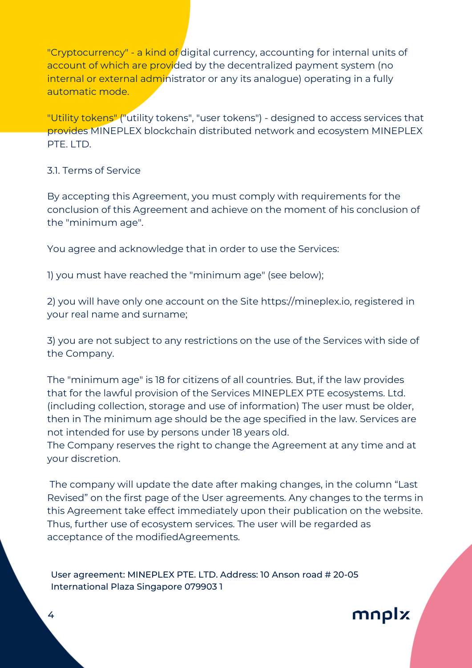"Cryptocurrency" - a kind of digital currency, accounting for internal units of account of which are provided by the decentralized payment system (no internal or external administrator or any its analogue) operating in a fully automatic mode.

"Utility tokens" ("utility tokens", "user tokens") - designed to access services that provides MINEPLEX blockchain distributed network and ecosystem MINEPLEX PTF. LTD.

#### 3.1. Terms of Service

By accepting this Agreement, you must comply with requirements for the conclusion of this Agreement and achieve on the moment of his conclusion of the "minimum age".

You agree and acknowledge that in order to use the Services:

1) you must have reached the "minimum age" (see below);

2) you will have only one account on the Site https://mineplex.io, registered in your real name and surname;

3) you are not subject to any restrictions on the use of the Services with side of the Company.

The "minimum age" is 18 for citizens of all countries. But, if the law provides that for the lawful provision of the Services MINEPLEX PTE ecosystems. Ltd. (including collection, storage and use of information) The user must be older, then in The minimum age should be the age specified in the law. Services are not intended for use by persons under 18 years old.

The Company reserves the right to change the Agreement at any time and at your discretion.

The company will update the date after making changes, in the column "Last Revised" on the first page of the User agreements. Any changes to the terms in this Agreement take effect immediately upon their publication on the website. Thus, further use of ecosystem services. The user will be regarded as acceptance of the modifiedAgreements.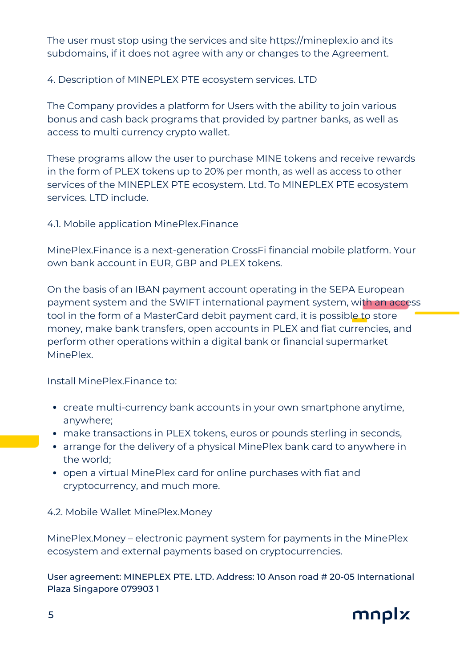The user must stop using the services and site https://mineplex.io and its subdomains, if it does not agree with any or changes to the Agreement.

4. Description of MINEPLEX PTE ecosystem services. LTD

The Company provides a platform for Users with the ability to join various bonus and cash back programs that provided by partner banks, as well as access to multi currency crypto wallet.

These programs allow the user to purchase MINE tokens and receive rewards in the form of PLEX tokens up to 20% per month, as well as access to other services of the MINEPLEX PTE ecosystem. Ltd. To MINEPLEX PTE ecosystem services. LTD include.

4.1. Mobile application MinePlex.Finance

MinePlex.Finance is a next-generation CrossFi financial mobile platform. Your own bank account in EUR, GBP and PLEX tokens.

On the basis of an IBAN payment account operating in the SEPA European payment system and the SWIFT international payment system, with an access tool in the form of a MasterCard debit payment card, it is possible to store money, make bank transfers, open accounts in PLEX and fiat currencies, and perform other operations within a digital bank or financial supermarket MinePlex.

Install MinePlex.Finance to:

- create multi-currency bank accounts in your own smartphone anytime, anywhere;
- make transactions in PLEX tokens, euros or pounds sterling in seconds,
- arrange for the delivery of a physical MinePlex bank card to anywhere in the world;
- open a virtual MinePlex card for online purchases with fiat and cryptocurrency, and much more.

4.2. Mobile Wallet MinePlex.Money

MinePlex.Money – electronic payment system for payments in the MinePlex ecosystem and external payments based on cryptocurrencies.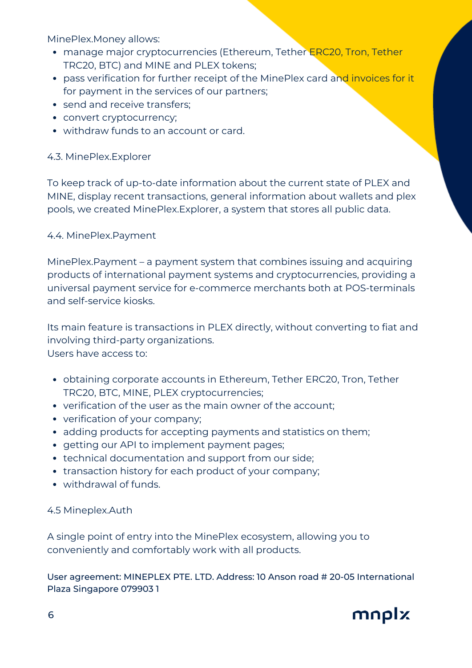MinePlex.Money allows:

- manage major cryptocurrencies (Ethereum, Tether ERC20, Tron, Tether TRC20, BTC) and MINE and PLEX tokens;
- pass verification for further receipt of the MinePlex card and invoices for it for payment in the services of our partners;
- send and receive transfers;
- convert cryptocurrency;
- withdraw funds to an account or card.

## 4.3. MinePlex.Explorer

To keep track of up-to-date information about the current state of PLEX and MINE, display recent transactions, general information about wallets and plex pools, we created MinePlex.Explorer, a system that stores all public data.

### 4.4. MinePlex.Payment

MinePlex.Payment – a payment system that combines issuing and acquiring products of international payment systems and cryptocurrencies, providing a universal payment service for e-commerce merchants both at POS-terminals and self-service kiosks.

Its main feature is transactions in PLEX directly, without converting to fiat and involving third-party organizations. Users have access to:

- obtaining corporate accounts in Ethereum, Tether ERC20, Tron, Tether TRC20, BTC, MINE, PLEX cryptocurrencies;
- verification of the user as the main owner of the account;
- verification of your company;
- adding products for accepting payments and statistics on them;
- getting our API to implement payment pages;
- technical documentation and support from our side;
- transaction history for each product of your company;
- withdrawal of funds.

# 4.5 Mineplex.Auth

A single point of entry into the MinePlex ecosystem, allowing you to conveniently and comfortably work with all products.

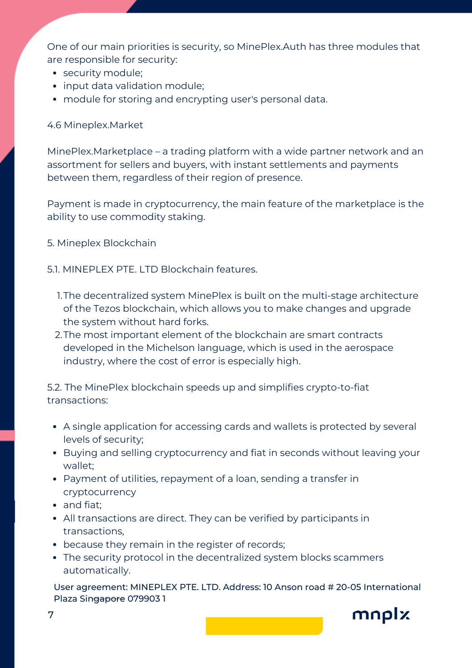One of our main priorities is security, so MinePlex.Auth has three modules that are responsible for security:

- security module;
- input data validation module;
- module for storing and encrypting user's personal data.

## 4.6 Mineplex.Market

MinePlex.Marketplace – a trading platform with a wide partner network and an assortment for sellers and buyers, with instant settlements and payments between them, regardless of their region of presence.

Payment is made in cryptocurrency, the main feature of the marketplace is the ability to use commodity staking.

5. Mineplex Blockchain

## 5.1. MINEPLEX PTE. LTD Blockchain features.

- 1.The decentralized system MinePlex is built on the multi-stage architecture of the Tezos blockchain, which allows you to make changes and upgrade the system without hard forks.
- 2.The most important element of the blockchain are smart contracts developed in the Michelson language, which is used in the aerospace industry, where the cost of error is especially high.

5.2. The MinePlex blockchain speeds up and simplifies crypto-to-fiat transactions:

- A single application for accessing cards and wallets is protected by several levels of security;
- Buying and selling cryptocurrency and fiat in seconds without leaving your wallet;
- Payment of utilities, repayment of a loan, sending a transfer in cryptocurrency
- and fiat;
- All transactions are direct. They can be verified by participants in transactions,
- because they remain in the register of records;
- The security protocol in the decentralized system blocks scammers automatically.

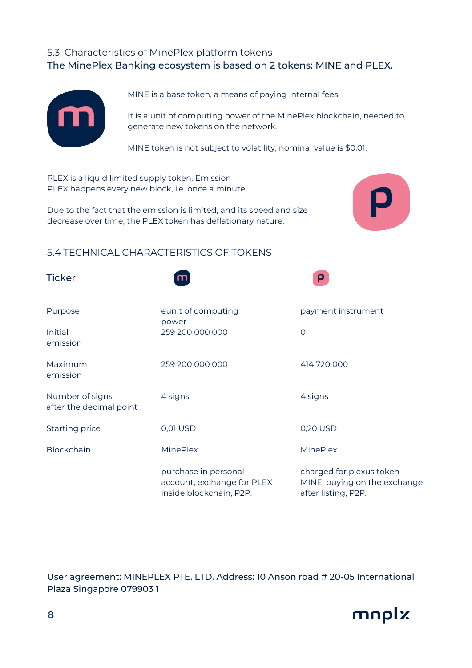# 5.3. Characteristics of MinePlex platform tokens The MinePlex Banking ecosystem is based on 2 tokens: MINE and PLEX.



MINE is a base token, a means of paying internal fees.

It is a unit of computing power of the MinePlex blockchain, needed to generate new tokens on the network.

MINE token is not subject to volatility, nominal value is \$0.01.

PLEX is a liquid limited supply token. Emission PLEX happens every new block, i.e. once a minute.

Due to the fact that the emission is limited, and its speed and size decrease over time, the PLEX token has deflationary nature.



# 5.4 TECHNICAL CHARACTERISTICS OF TOKENS

| <b>Ticker</b>                              |                                                                               | ρ                                                                               |  |
|--------------------------------------------|-------------------------------------------------------------------------------|---------------------------------------------------------------------------------|--|
| Purpose                                    | eunit of computing<br>power                                                   | payment instrument                                                              |  |
| Initial<br>emission                        | 259 200 000 000                                                               | $\circ$                                                                         |  |
| Maximum<br>emission                        | 259 200 000 000                                                               | 414 720 000                                                                     |  |
| Number of signs<br>after the decimal point | 4 signs                                                                       | 4 signs                                                                         |  |
| <b>Starting price</b>                      | 0,01 USD                                                                      | 0,20 USD                                                                        |  |
| <b>Blockchain</b>                          | <b>MinePlex</b>                                                               | <b>MinePlex</b>                                                                 |  |
|                                            | purchase in personal<br>account, exchange for PLEX<br>inside blockchain, P2P. | charged for plexus token<br>MINE, buying on the exchange<br>after listing, P2P. |  |

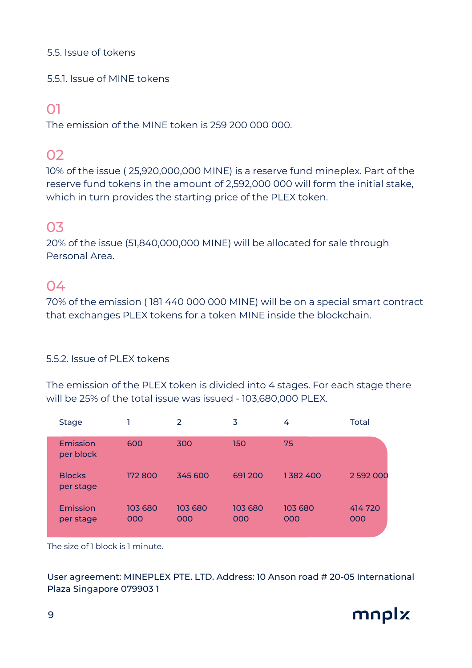### 5.5. Issue of tokens

5.5.1. Issue of MINE tokens

# 01

The emission of the MINE token is 259 200 000 000.

# 02

10% of the issue ( 25,920,000,000 MINE) is a reserve fund mineplex. Part of the reserve fund tokens in the amount of 2,592,000 000 will form the initial stake, which in turn provides the starting price of the PLEX token.

# 03

20% of the issue (51,840,000,000 MINE) will be allocated for sale through Personal Area.

# 04

70% of the emission ( 181 440 000 000 MINE) will be on a special smart contract that exchanges PLEX tokens for a token MINE inside the blockchain.

# 5.5.2. Issue of PLEX tokens

The emission of the PLEX token is divided into 4 stages. For each stage there will be 25% of the total issue was issued - 103,680,000 PLEX.

| <b>Stage</b>               |                | 2              | 3              | 4              | Total         |
|----------------------------|----------------|----------------|----------------|----------------|---------------|
| Emission<br>per block      | 600            | 300            | 150            | 75             |               |
| <b>Blocks</b><br>per stage | 172 800        | 345 600        | 691200         | 1382400        | 2 592 000     |
| Emission<br>per stage      | 103 680<br>000 | 103 680<br>000 | 103 680<br>000 | 103 680<br>000 | 414720<br>000 |

The size of 1 block is 1 minute.

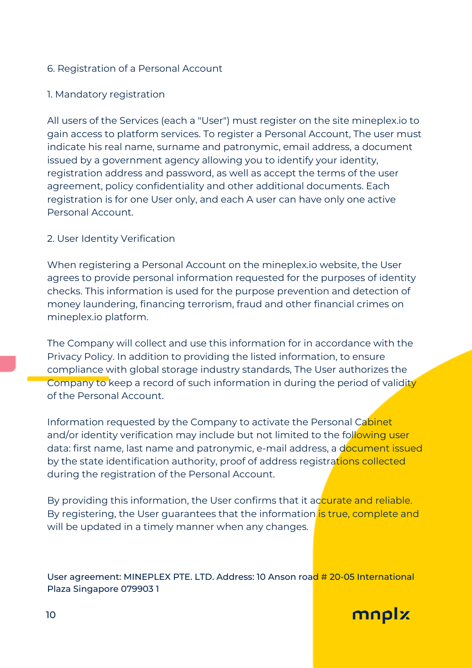## 6. Registration of a Personal Account

## 1. Mandatory registration

All users of the Services (each a "User") must register on the site mineplex.io to gain access to platform services. To register a Personal Account, The user must indicate his real name, surname and patronymic, email address, a document issued by a government agency allowing you to identify your identity, registration address and password, as well as accept the terms of the user agreement, policy confidentiality and other additional documents. Each registration is for one User only, and each A user can have only one active Personal Account.

### 2. User Identity Verification

When registering a Personal Account on the mineplex.io website, the User agrees to provide personal information requested for the purposes of identity checks. This information is used for the purpose prevention and detection of money laundering, financing terrorism, fraud and other financial crimes on mineplex.io platform.

The Company will collect and use this information for in accordance with the Privacy Policy. In addition to providing the listed information, to ensure compliance with global storage industry standards, The User authorizes the Company to keep a record of such information in during the period of validity of the Personal Account.

Information requested by the Company to activate the Personal Cabinet and/or identity verification may include but not limited to the following user data: first name, last name and patronymic, e-mail address, a document issued by the state identification authority, proof of address registrations collected during the registration of the Personal Account.

By providing this information, the User confirms that it accurate and reliable. By registering, the User guarantees that the information is true, complete and will be updated in a timely manner when any changes.

User agreement: MINEPLEX PTE. LTD. Address: 10 Anson road # 20-05 International Plaza Singapore 079903 1

mnplx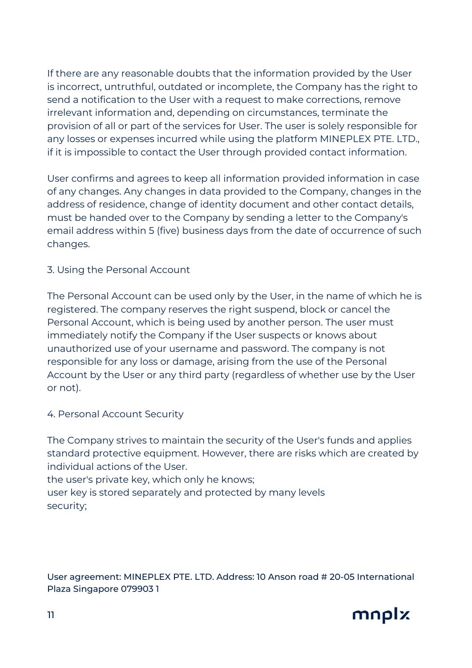If there are any reasonable doubts that the information provided by the User is incorrect, untruthful, outdated or incomplete, the Company has the right to send a notification to the User with a request to make corrections, remove irrelevant information and, depending on circumstances, terminate the provision of all or part of the services for User. The user is solely responsible for any losses or expenses incurred while using the platform MINEPLEX PTE. LTD., if it is impossible to contact the User through provided contact information.

User confirms and agrees to keep all information provided information in case of any changes. Any changes in data provided to the Company, changes in the address of residence, change of identity document and other contact details, must be handed over to the Company by sending a letter to the Company's email address within 5 (five) business days from the date of occurrence of such changes.

# 3. Using the Personal Account

The Personal Account can be used only by the User, in the name of which he is registered. The company reserves the right suspend, block or cancel the Personal Account, which is being used by another person. The user must immediately notify the Company if the User suspects or knows about unauthorized use of your username and password. The company is not responsible for any loss or damage, arising from the use of the Personal Account by the User or any third party (regardless of whether use by the User or not).

### 4. Personal Account Security

The Company strives to maintain the security of the User's funds and applies standard protective equipment. However, there are risks which are created by individual actions of the User.

the user's private key, which only he knows; user key is stored separately and protected by many levels security;

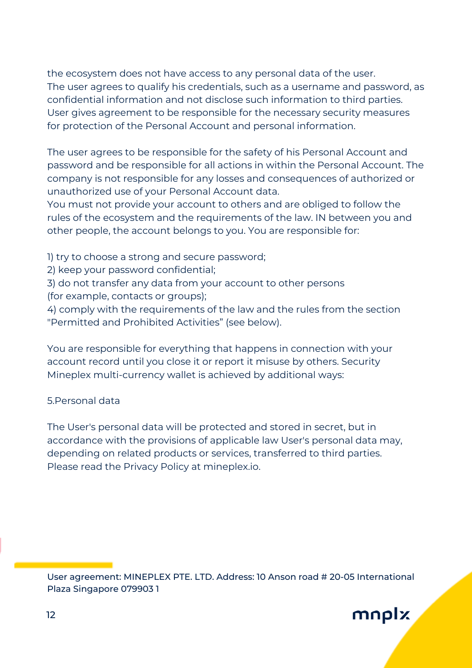the ecosystem does not have access to any personal data of the user. The user agrees to qualify his credentials, such as a username and password, as confidential information and not disclose such information to third parties. User gives agreement to be responsible for the necessary security measures for protection of the Personal Account and personal information.

The user agrees to be responsible for the safety of his Personal Account and password and be responsible for all actions in within the Personal Account. The company is not responsible for any losses and consequences of authorized or unauthorized use of your Personal Account data.

You must not provide your account to others and are obliged to follow the rules of the ecosystem and the requirements of the law. IN between you and other people, the account belongs to you. You are responsible for:

- 1) try to choose a strong and secure password;
- 2) keep your password confidential;
- 3) do not transfer any data from your account to other persons (for example, contacts or groups);

4) comply with the requirements of the law and the rules from the section "Permitted and Prohibited Activities" (see below).

You are responsible for everything that happens in connection with your account record until you close it or report it misuse by others. Security Mineplex multi-currency wallet is achieved by additional ways:

### 5.Personal data

The User's personal data will be protected and stored in secret, but in accordance with the provisions of applicable law User's personal data may, depending on related products or services, transferred to third parties. Please read the Privacy Policy at mineplex.io.

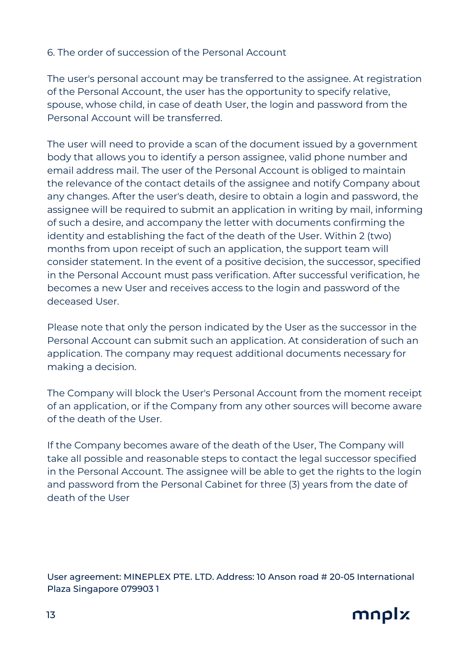## 6. The order of succession of the Personal Account

The user's personal account may be transferred to the assignee. At registration of the Personal Account, the user has the opportunity to specify relative, spouse, whose child, in case of death User, the login and password from the Personal Account will be transferred.

The user will need to provide a scan of the document issued by a government body that allows you to identify a person assignee, valid phone number and email address mail. The user of the Personal Account is obliged to maintain the relevance of the contact details of the assignee and notify Company about any changes. After the user's death, desire to obtain a login and password, the assignee will be required to submit an application in writing by mail, informing of such a desire, and accompany the letter with documents confirming the identity and establishing the fact of the death of the User. Within 2 (two) months from upon receipt of such an application, the support team will consider statement. In the event of a positive decision, the successor, specified in the Personal Account must pass verification. After successful verification, he becomes a new User and receives access to the login and password of the deceased User.

Please note that only the person indicated by the User as the successor in the Personal Account can submit such an application. At consideration of such an application. The company may request additional documents necessary for making a decision.

The Company will block the User's Personal Account from the moment receipt of an application, or if the Company from any other sources will become aware of the death of the User.

If the Company becomes aware of the death of the User, The Company will take all possible and reasonable steps to contact the legal successor specified in the Personal Account. The assignee will be able to get the rights to the login and password from the Personal Cabinet for three (3) years from the date of death of the User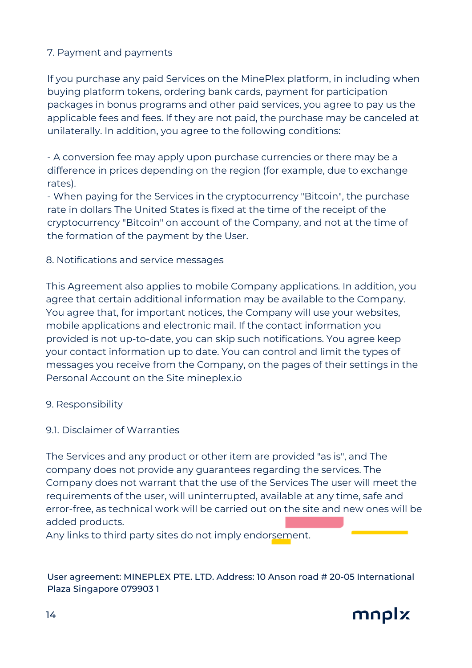# 7. Payment and payments

If you purchase any paid Services on the MinePlex platform, in including when buying platform tokens, ordering bank cards, payment for participation packages in bonus programs and other paid services, you agree to pay us the applicable fees and fees. If they are not paid, the purchase may be canceled at unilaterally. In addition, you agree to the following conditions:

- A conversion fee may apply upon purchase currencies or there may be a difference in prices depending on the region (for example, due to exchange rates).

- When paying for the Services in the cryptocurrency "Bitcoin", the purchase rate in dollars The United States is fixed at the time of the receipt of the cryptocurrency "Bitcoin" on account of the Company, and not at the time of the formation of the payment by the User.

#### 8. Notifications and service messages

This Agreement also applies to mobile Company applications. In addition, you agree that certain additional information may be available to the Company. You agree that, for important notices, the Company will use your websites, mobile applications and electronic mail. If the contact information you provided is not up-to-date, you can skip such notifications. You agree keep your contact information up to date. You can control and limit the types of messages you receive from the Company, on the pages of their settings in the Personal Account on the Site mineplex.io

#### 9. Responsibility

9.1. Disclaimer of Warranties

The Services and any product or other item are provided "as is", and The company does not provide any guarantees regarding the services. The Company does not warrant that the use of the Services The user will meet the requirements of the user, will uninterrupted, available at any time, safe and error-free, as technical work will be carried out on the site and new ones will be added products.

Any links to third party sites do not imply endorsement.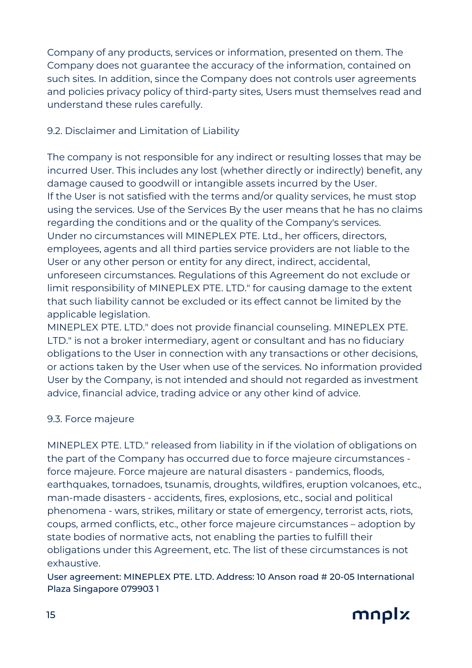Company of any products, services or information, presented on them. The Company does not guarantee the accuracy of the information, contained on such sites. In addition, since the Company does not controls user agreements and policies privacy policy of third-party sites, Users must themselves read and understand these rules carefully.

# 9.2. Disclaimer and Limitation of Liability

The company is not responsible for any indirect or resulting losses that may be incurred User. This includes any lost (whether directly or indirectly) benefit, any damage caused to goodwill or intangible assets incurred by the User. If the User is not satisfied with the terms and/or quality services, he must stop using the services. Use of the Services By the user means that he has no claims regarding the conditions and or the quality of the Company's services. Under no circumstances will MINEPLEX PTE. Ltd., her officers, directors, employees, agents and all third parties service providers are not liable to the User or any other person or entity for any direct, indirect, accidental, unforeseen circumstances. Regulations of this Agreement do not exclude or limit responsibility of MINEPLEX PTE. LTD." for causing damage to the extent that such liability cannot be excluded or its effect cannot be limited by the applicable legislation.

MINEPLEX PTE. LTD." does not provide financial counseling. MINEPLEX PTE. LTD." is not a broker intermediary, agent or consultant and has no fiduciary obligations to the User in connection with any transactions or other decisions, or actions taken by the User when use of the services. No information provided User by the Company, is not intended and should not regarded as investment advice, financial advice, trading advice or any other kind of advice.

# 9.3. Force majeure

MINEPLEX PTE. LTD." released from liability in if the violation of obligations on the part of the Company has occurred due to force majeure circumstances force majeure. Force majeure are natural disasters - pandemics, floods, earthquakes, tornadoes, tsunamis, droughts, wildfires, eruption volcanoes, etc., man-made disasters - accidents, fires, explosions, etc., social and political phenomena - wars, strikes, military or state of emergency, terrorist acts, riots, coups, armed conflicts, etc., other force majeure circumstances – adoption by state bodies of normative acts, not enabling the parties to fulfill their obligations under this Agreement, etc. The list of these circumstances is not exhaustive.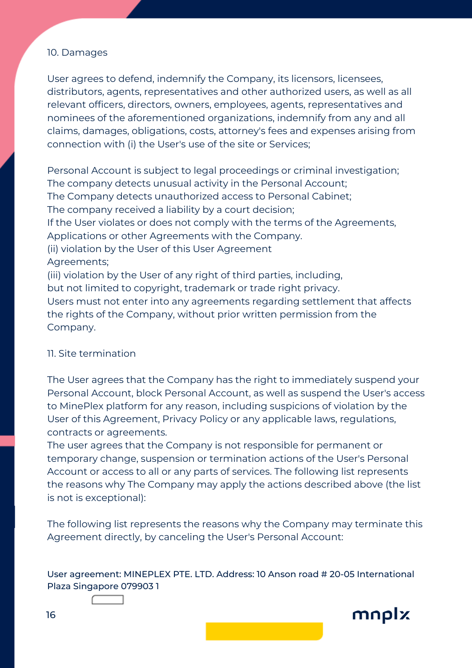#### 10. Damages

User agrees to defend, indemnify the Company, its licensors, licensees, distributors, agents, representatives and other authorized users, as well as all relevant officers, directors, owners, employees, agents, representatives and nominees of the aforementioned organizations, indemnify from any and all claims, damages, obligations, costs, attorney's fees and expenses arising from connection with (i) the User's use of the site or Services;

Personal Account is subject to legal proceedings or criminal investigation; The company detects unusual activity in the Personal Account; The Company detects unauthorized access to Personal Cabinet; The company received a liability by a court decision; If the User violates or does not comply with the terms of the Agreements, Applications or other Agreements with the Company. (ii) violation by the User of this User Agreement Agreements; (iii) violation by the User of any right of third parties, including, but not limited to copyright, trademark or trade right privacy. Users must not enter into any agreements regarding settlement that affects the rights of the Company, without prior written permission from the Company.

#### 11. Site termination

The User agrees that the Company has the right to immediately suspend your Personal Account, block Personal Account, as well as suspend the User's access to MinePlex platform for any reason, including suspicions of violation by the User of this Agreement, Privacy Policy or any applicable laws, regulations, contracts or agreements.

The user agrees that the Company is not responsible for permanent or temporary change, suspension or termination actions of the User's Personal Account or access to all or any parts of services. The following list represents the reasons why The Company may apply the actions described above (the list is not is exceptional):

The following list represents the reasons why the Company may terminate this Agreement directly, by canceling the User's Personal Account: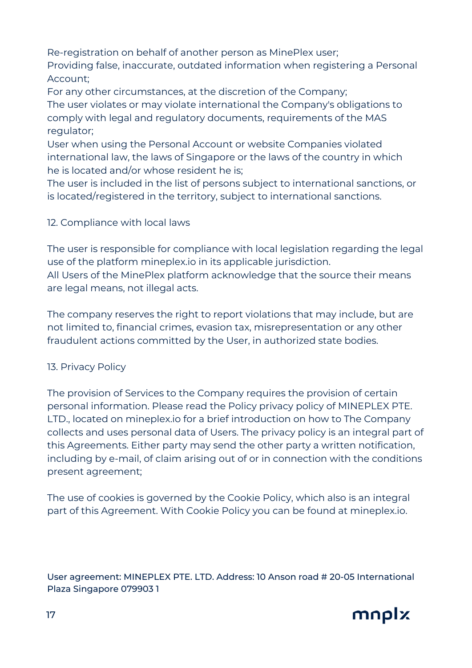Re-registration on behalf of another person as MinePlex user;

Providing false, inaccurate, outdated information when registering a Personal Account;

For any other circumstances, at the discretion of the Company; The user violates or may violate international the Company's obligations to comply with legal and regulatory documents, requirements of the MAS regulator;

User when using the Personal Account or website Companies violated international law, the laws of Singapore or the laws of the country in which he is located and/or whose resident he is;

The user is included in the list of persons subject to international sanctions, or is located/registered in the territory, subject to international sanctions.

# 12. Compliance with local laws

The user is responsible for compliance with local legislation regarding the legal use of the platform mineplex.io in its applicable jurisdiction.

All Users of the MinePlex platform acknowledge that the source their means are legal means, not illegal acts.

The company reserves the right to report violations that may include, but are not limited to, financial crimes, evasion tax, misrepresentation or any other fraudulent actions committed by the User, in authorized state bodies.

# 13. Privacy Policy

The provision of Services to the Company requires the provision of certain personal information. Please read the Policy privacy policy of MINEPLEX PTE. LTD., located on mineplex.io for a brief introduction on how to The Company collects and uses personal data of Users. The privacy policy is an integral part of this Agreements. Either party may send the other party a written notification, including by e-mail, of claim arising out of or in connection with the conditions present agreement;

The use of cookies is governed by the Cookie Policy, which also is an integral part of this Agreement. With Cookie Policy you can be found at mineplex.io.

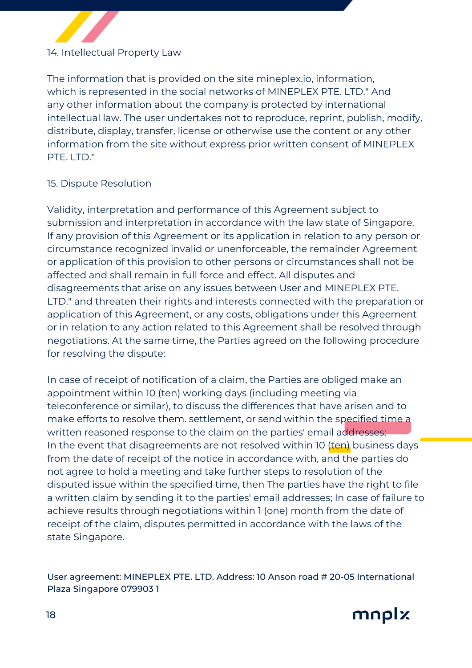# 14. Intellectual Property Law

The information that is provided on the site mineplex.io, information, which is represented in the social networks of MINEPLEX PTE. LTD." And any other information about the company is protected by international intellectual law. The user undertakes not to reproduce, reprint, publish, modify, distribute, display, transfer, license or otherwise use the content or any other information from the site without express prior written consent of MINEPLEX PTE. LTD."

### 15. Dispute Resolution

Validity, interpretation and performance of this Agreement subject to submission and interpretation in accordance with the law state of Singapore. If any provision of this Agreement or its application in relation to any person or circumstance recognized invalid or unenforceable, the remainder Agreement or application of this provision to other persons or circumstances shall not be affected and shall remain in full force and effect. All disputes and disagreements that arise on any issues between User and MINEPLEX PTE. LTD." and threaten their rights and interests connected with the preparation or application of this Agreement, or any costs, obligations under this Agreement or in relation to any action related to this Agreement shall be resolved through negotiations. At the same time, the Parties agreed on the following procedure for resolving the dispute:

In case of receipt of notification of a claim, the Parties are obliged make an appointment within 10 (ten) working days (including meeting via teleconference or similar), to discuss the differences that have arisen and to make efforts to resolve them. settlement, or send within the specified time a written reasoned response to the claim on the parties' email addresses; In the event that disagreements are not resolved within 10 (ten) business days from the date of receipt of the notice in accordance with, and the parties do not agree to hold a meeting and take further steps to resolution of the disputed issue within the specified time, then The parties have the right to file a written claim by sending it to the parties' email addresses; In case of failure to achieve results through negotiations within 1 (one) month from the date of receipt of the claim, disputes permitted in accordance with the laws of the state Singapore.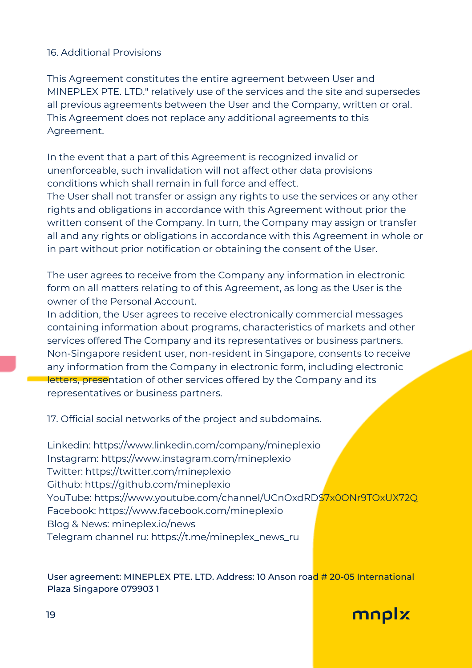## 16. Additional Provisions

This Agreement constitutes the entire agreement between User and MINEPLEX PTE. LTD." relatively use of the services and the site and supersedes all previous agreements between the User and the Company, written or oral. This Agreement does not replace any additional agreements to this Agreement.

In the event that a part of this Agreement is recognized invalid or unenforceable, such invalidation will not affect other data provisions conditions which shall remain in full force and effect.

The User shall not transfer or assign any rights to use the services or any other rights and obligations in accordance with this Agreement without prior the written consent of the Company. In turn, the Company may assign or transfer all and any rights or obligations in accordance with this Agreement in whole or in part without prior notification or obtaining the consent of the User.

The user agrees to receive from the Company any information in electronic form on all matters relating to of this Agreement, as long as the User is the owner of the Personal Account.

In addition, the User agrees to receive electronically commercial messages containing information about programs, characteristics of markets and other services offered The Company and its representatives or business partners. Non-Singapore resident user, non-resident in Singapore, consents to receive any information from the Company in electronic form, including electronic letters, presentation of other services offered by the Company and its representatives or business partners.

17. Official social networks of the project and subdomains.

Linkedin: https://www.linkedin.com/company/mineplexio Instagram: https://www.instagram.com/mineplexio Twitter: https://twitter.com/mineplexio Github: https://github.com/mineplexio YouTube: https://www.youtube.com/channel/UCnOxdRDS7x0ONr9TOxUX72Q Facebook: https://www.facebook.com/mineplexio Blog & News: mineplex.io/news Telegram channel ru: https://t.me/mineplex\_news\_ru

#### User agreement: MINEPLEX PTE. LTD. Address: 10 Anson road # 20-05 International Plaza Singapore 079903 1

mnplx